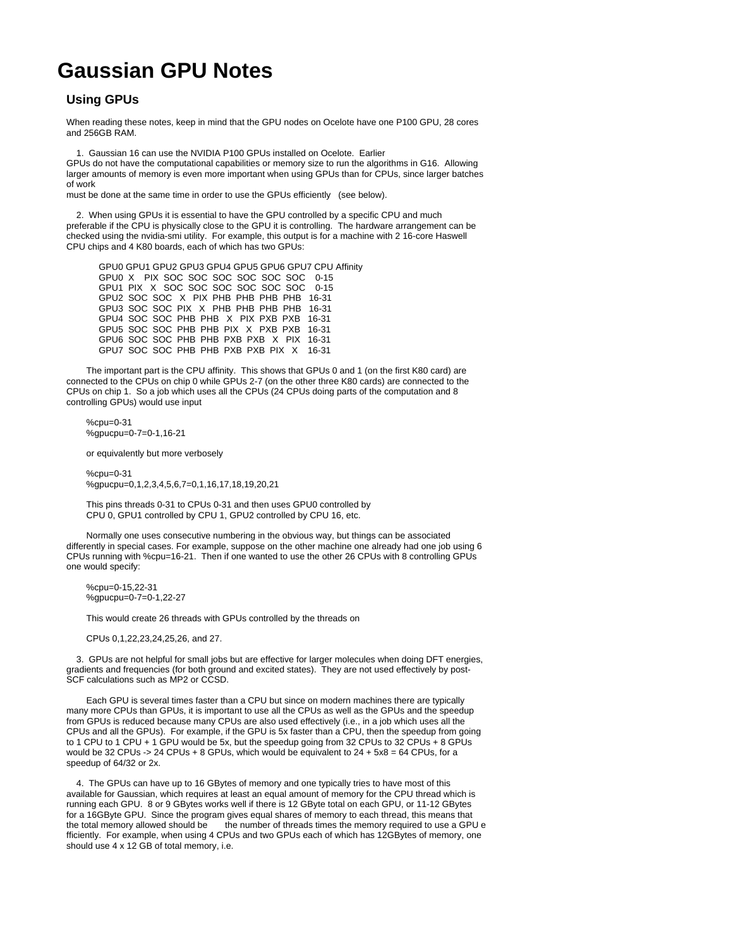## **Gaussian GPU Notes**

## **Using GPUs**

When reading these notes, keep in mind that the GPU nodes on Ocelote have one P100 GPU, 28 cores and 256GB RAM.

1. Gaussian 16 can use the NVIDIA P100 GPUs installed on Ocelote. Earlier

GPUs do not have the computational capabilities or memory size to run the algorithms in G16. Allowing larger amounts of memory is even more important when using GPUs than for CPUs, since larger batches of work

must be done at the same time in order to use the GPUs efficiently (see below).

 2. When using GPUs it is essential to have the GPU controlled by a specific CPU and much preferable if the CPU is physically close to the GPU it is controlling. The hardware arrangement can be checked using the nvidia-smi utility. For example, this output is for a machine with 2 16-core Haswell CPU chips and 4 K80 boards, each of which has two GPUs:

 GPU0 GPU1 GPU2 GPU3 GPU4 GPU5 GPU6 GPU7 CPU Affinity GPU0 X PIX SOC SOC SOC SOC SOC SOC 0-15 GPU1 PIX X SOC SOC SOC SOC SOC SOC 0-15 GPU2 SOC SOC X PIX PHB PHB PHB PHB 16-31 GPU3 SOC SOC PIX X PHB PHB PHB PHB 16-31 GPU4 SOC SOC PHB PHB X PIX PXB PXB 16-31 GPU5 SOC SOC PHB PHB PIX X PXB PXB 16-31 GPU6 SOC SOC PHB PHB PXB PXB X PIX 16-31 GPU7 SOC SOC PHB PHB PXB PXB PIX X 16-31

 The important part is the CPU affinity. This shows that GPUs 0 and 1 (on the first K80 card) are connected to the CPUs on chip 0 while GPUs 2-7 (on the other three K80 cards) are connected to the CPUs on chip 1. So a job which uses all the CPUs (24 CPUs doing parts of the computation and 8 controlling GPUs) would use input

 %cpu=0-31 %gpucpu=0-7=0-1,16-21

or equivalently but more verbosely

 %cpu=0-31 %gpucpu=0,1,2,3,4,5,6,7=0,1,16,17,18,19,20,21

 This pins threads 0-31 to CPUs 0-31 and then uses GPU0 controlled by CPU 0, GPU1 controlled by CPU 1, GPU2 controlled by CPU 16, etc.

 Normally one uses consecutive numbering in the obvious way, but things can be associated differently in special cases. For example, suppose on the other machine one already had one job using 6 CPUs running with %cpu=16-21. Then if one wanted to use the other 26 CPUs with 8 controlling GPUs one would specify:

 %cpu=0-15,22-31 %gpucpu=0-7=0-1,22-27

This would create 26 threads with GPUs controlled by the threads on

CPUs 0,1,22,23,24,25,26, and 27.

 3. GPUs are not helpful for small jobs but are effective for larger molecules when doing DFT energies, gradients and frequencies (for both ground and excited states). They are not used effectively by post-SCF calculations such as MP2 or CCSD.

 Each GPU is several times faster than a CPU but since on modern machines there are typically many more CPUs than GPUs, it is important to use all the CPUs as well as the GPUs and the speedup from GPUs is reduced because many CPUs are also used effectively (i.e., in a job which uses all the CPUs and all the GPUs). For example, if the GPU is 5x faster than a CPU, then the speedup from going to 1 CPU to 1 CPU + 1 GPU would be 5x, but the speedup going from 32 CPUs to 32 CPUs + 8 GPUs would be 32 CPUs -> 24 CPUs + 8 GPUs, which would be equivalent to  $24 + 5x8 = 64$  CPUs, for a speedup of 64/32 or 2x.

 4. The GPUs can have up to 16 GBytes of memory and one typically tries to have most of this available for Gaussian, which requires at least an equal amount of memory for the CPU thread which is running each GPU. 8 or 9 GBytes works well if there is 12 GByte total on each GPU, or 11-12 GBytes for a 16GByte GPU. Since the program gives equal shares of memory to each thread, this means that the total memory allowed should be the number of threads times the memory required to use a GPU e fficiently. For example, when using 4 CPUs and two GPUs each of which has 12GBytes of memory, one should use 4 x 12 GB of total memory, i.e.